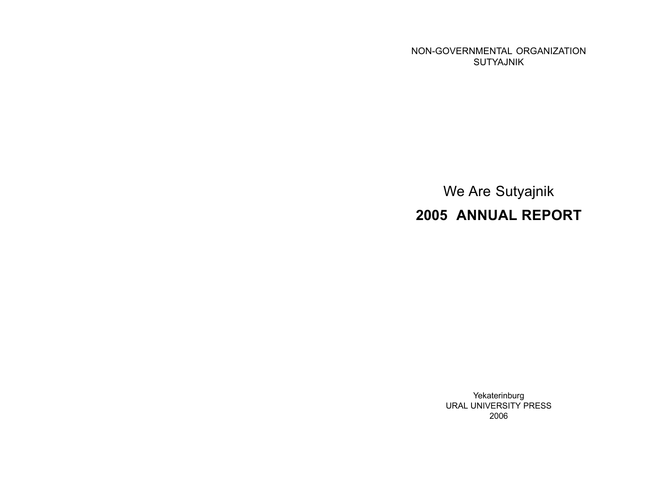NON-GOVERNMENTAL ORGANIZATION SUTYAJNIK

We Are Sutyajnik 2005 ANNUAL REPORT

> Yekaterinburg URAL UNIVERSITY PRESS 2006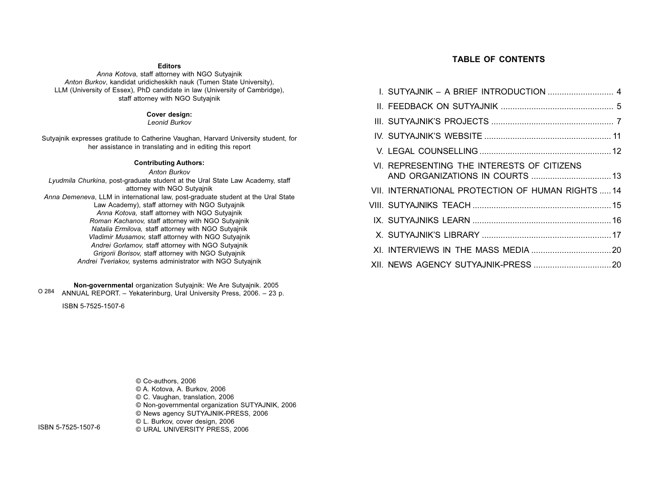#### **Editors**

Anna Kotova, staff attorney with NGO Sutyajnik Anton Burkov, kandidat uridicheskikh nauk (Tumen State University), LLM (University of Essex), PhD candidate in law (University of Cambridge), staff attorney with NGO Sutyajnik

#### Cover design:

Leonid Burkov

Sutyajnik expresses gratitude to Catherine Vaughan, Harvard University student, for her assistance in translating and in editing this report

#### Contributing Authors:

Anton Burkov Lyudmila Churkina, post-graduate student at the Ural State Law Academy, staff attorney with NGO Sutyajnik Anna Demeneva, LLM in international law, post-graduate student at the Ural State Law Academy), staff attorney with NGO Sutyajnik Anna Kotova, staff attorney with NGO Sutyajnik Roman Kachanov, staff attorney with NGO Sutyajnik Natalia Ermilova, staff attorney with NGO Sutyajnik Vladimir Musamov, staff attorney with NGO Sutyajnik Andrei Gorlamov, staff attorney with NGO Sutyajnik Grigorii Borisov, staff attorney with NGO Sutyajnik Andrei Tveriakov, systems administrator with NGO Sutyajnik

Non-governmental organization Sutyajnik: We Are Sutyajnik. 2005 O 284 ANNUAL REPORT. – Yekaterinburg, Ural University Press, 2006. – 23 p.

ISBN 5-7525-1507-6

#### TABLE OF CONTENTS

| VI. REPRESENTING THE INTERESTS OF CITIZENS        |  |
|---------------------------------------------------|--|
| VII. INTERNATIONAL PROTECTION OF HUMAN RIGHTS  14 |  |
|                                                   |  |
|                                                   |  |
|                                                   |  |
|                                                   |  |
|                                                   |  |

© Co-authors, 2006 © A. Kotova, A. Burkov, 2006 © C. Vaughan, translation, 2006 © Non-governmental organization SUTYAJNIK, 2006 © News agency SUTYAJNIK-PRESS, 2006 © L. Burkov, cover design, 2006 © URAL UNIVERSITY PRESS, 2006

ISBN 5-7525-1507-6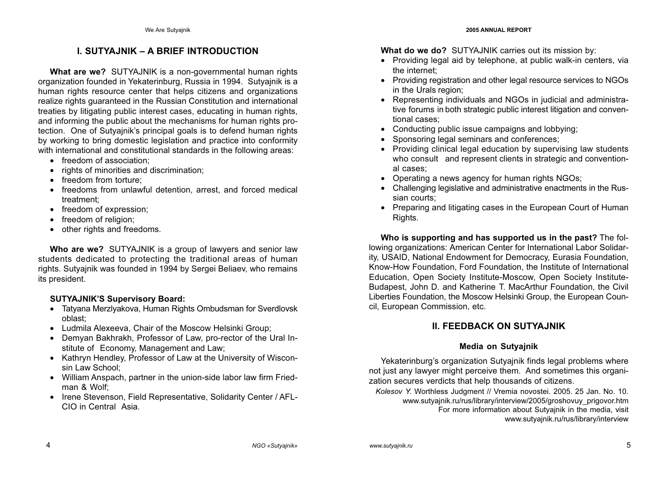# I. SUTYAJNIK – A BRIEF INTRODUCTION

What are we? SUTYAJNIK is a non-governmental human rights organization founded in Yekaterinburg, Russia in 1994. Sutyajnik is a human rights resource center that helps citizens and organizations realize rights guaranteed in the Russian Constitution and international treaties by litigating public interest cases, educating in human rights, and informing the public about the mechanisms for human rights protection. One of Sutyajnik's principal goals is to defend human rights by working to bring domestic legislation and practice into conformity with international and constitutional standards in the following areas:

- freedom of association;
- rights of minorities and discrimination:
- freedom from torture:
- freedoms from unlawful detention, arrest, and forced medical treatment;
- freedom of expression;
- freedom of religion;
- other rights and freedoms.

Who are we? SUTYAJNIK is a group of lawyers and senior law students dedicated to protecting the traditional areas of human rights. Sutyajnik was founded in 1994 by Sergei Beliaev, who remains its president.

## SUTYAJNIK'S Supervisory Board:

- Tatyana Merzlyakova, Human Rights Ombudsman for Sverdlovsk oblast;
- Ludmila Alexeeva, Chair of the Moscow Helsinki Group;
- Demyan Bakhrakh, Professor of Law, pro-rector of the Ural Institute of Economy, Management and Law;
- Kathryn Hendley, Professor of Law at the University of Wisconsin Law School;
- William Anspach, partner in the union-side labor law firm Friedman & Wolf;
- Irene Stevenson, Field Representative, Solidarity Center / AFL-CIO in Central Asia.

What do we do? SUTYAJNIK carries out its mission by:

- Providing legal aid by telephone, at public walk-in centers, via the internet;
- Providing registration and other legal resource services to NGOs in the Urals region;
- Representing individuals and NGOs in judicial and administrative forums in both strategic public interest litigation and conventional cases;
- Conducting public issue campaigns and lobbying;
- Sponsoring legal seminars and conferences;
- Providing clinical legal education by supervising law students who consult and represent clients in strategic and conventional cases;
- Operating a news agency for human rights NGOs;
- Challenging legislative and administrative enactments in the Russian courts;
- Preparing and litigating cases in the European Court of Human Rights.

Who is supporting and has supported us in the past? The following organizations: American Center for International Labor Solidarity, USAID, National Endowment for Democracy, Eurasia Foundation, Know-How Foundation, Ford Foundation, the Institute of International Education, Open Society Institute-Moscow, Open Society Institute-Budapest, John D. and Katherine T. MacArthur Foundation, the Civil Liberties Foundation, the Moscow Helsinki Group, the European Council, European Commission, etc.

## II. FEEDBACK ON SUTYAJNIK

## Media on Sutyajnik

Yekaterinburg's organization Sutyajnik finds legal problems where not just any lawyer might perceive them. And sometimes this organization secures verdicts that help thousands of citizens.

Kolesov Y. Worthless Judgment // Vremia novostei. 2005. 25 Jan. No. 10. www.sutyajnik.ru/rus/library/interview/2005/groshovuy\_prigovor.htm For more information about Sutyajnik in the media, visit www.sutyajnik.ru/rus/library/interview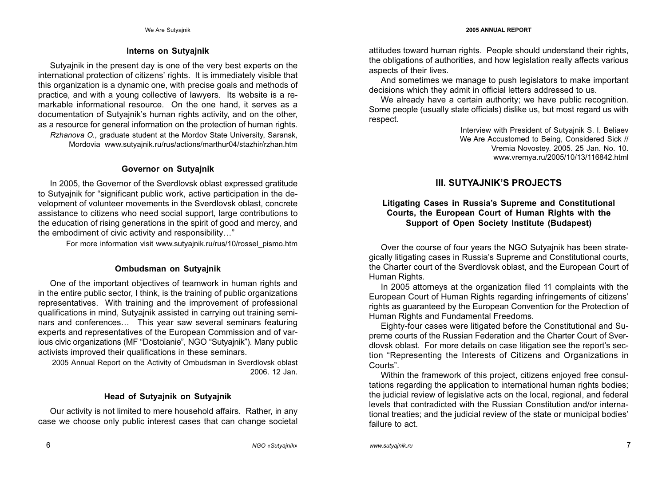### Interns on Sutyajnik

Sutyajnik in the present day is one of the very best experts on the international protection of citizens' rights. It is immediately visible that this organization is a dynamic one, with precise goals and methods of practice, and with a young collective of lawyers. Its website is a remarkable informational resource. On the one hand, it serves as a documentation of Sutyajnik's human rights activity, and on the other, as a resource for general information on the protection of human rights. Rzhanova O., graduate student at the Mordov State University, Saransk, Mordovia www.sutyajnik.ru/rus/actions/marthur04/stazhir/rzhan.htm

### Governor on Sutyajnik

In 2005, the Governor of the Sverdlovsk oblast expressed gratitude to Sutyajnik for "significant public work, active participation in the development of volunteer movements in the Sverdlovsk oblast, concrete assistance to citizens who need social support, large contributions to the education of rising generations in the spirit of good and mercy, and the embodiment of civic activity and responsibility…"

For more information visit www.sutyajnik.ru/rus/10/rossel\_pismo.htm

## Ombudsman on Sutyajnik

One of the important objectives of teamwork in human rights and in the entire public sector, I think, is the training of public organizations representatives. With training and the improvement of professional qualifications in mind, Sutyajnik assisted in carrying out training seminars and conferences… This year saw several seminars featuring experts and representatives of the European Commission and of various civic organizations (MF "Dostoianie", NGO "Sutyajnik"). Many public activists improved their qualifications in these seminars.

2005 Annual Report on the Activity of Ombudsman in Sverdlovsk oblast 2006. 12 Jan.

## Head of Sutyajnik on Sutyajnik

Our activity is not limited to mere household affairs. Rather, in any case we choose only public interest cases that can change societal attitudes toward human rights. People should understand their rights, the obligations of authorities, and how legislation really affects various aspects of their lives.

And sometimes we manage to push legislators to make important decisions which they admit in official letters addressed to us.

We already have a certain authority; we have public recognition. Some people (usually state officials) dislike us, but most regard us with respect.

> Interview with President of Sutyajnik S. I. Beliaev We Are Accustomed to Being, Considered Sick // Vremia Novostey. 2005. 25 Jan. No. 10. www.vremya.ru/2005/10/13/116842.html

# III. SUTYAJNIK'S PROJECTS

## Litigating Cases in Russia's Supreme and Constitutional Courts, the European Court of Human Rights with the Support of Open Society Institute (Budapest)

Over the course of four years the NGO Sutyajnik has been strategically litigating cases in Russia's Supreme and Constitutional courts, the Charter court of the Sverdlovsk oblast, and the European Court of Human Rights.

In 2005 attorneys at the organization filed 11 complaints with the European Court of Human Rights regarding infringements of citizens' rights as guaranteed by the European Convention for the Protection of Human Rights and Fundamental Freedoms.

Eighty-four cases were litigated before the Constitutional and Supreme courts of the Russian Federation and the Charter Court of Sverdlovsk oblast. For more details on case litigation see the report's section "Representing the Interests of Citizens and Organizations in Courts".

Within the framework of this project, citizens enjoyed free consultations regarding the application to international human rights bodies; the judicial review of legislative acts on the local, regional, and federal levels that contradicted with the Russian Constitution and/or international treaties; and the judicial review of the state or municipal bodies' failure to act.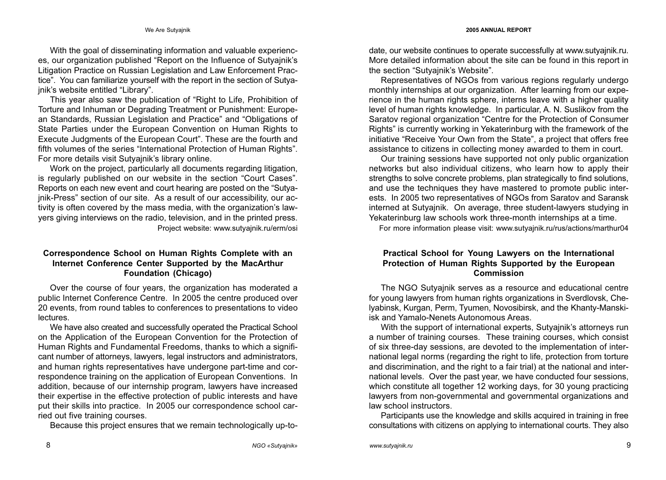With the goal of disseminating information and valuable experiences, our organization published "Report on the Influence of Sutyajnik's Litigation Practice on Russian Legislation and Law Enforcement Practice". You can familiarize yourself with the report in the section of Sutyajnik's website entitled "Library".

This year also saw the publication of "Right to Life, Prohibition of Torture and Inhuman or Degrading Treatment or Punishment: European Standards, Russian Legislation and Practice" and "Obligations of State Parties under the European Convention on Human Rights to Execute Judgments of the European Court". These are the fourth and fifth volumes of the series "International Protection of Human Rights". For more details visit Sutyajnik's library online.

Work on the project, particularly all documents regarding litigation, is regularly published on our website in the section "Court Cases". Reports on each new event and court hearing are posted on the "Sutyajnik-Press" section of our site. As a result of our accessibility, our activity is often covered by the mass media, with the organization's lawyers giving interviews on the radio, television, and in the printed press. Project website: www.sutyajnik.ru/erm/osi

## Correspondence School on Human Rights Complete with an Internet Conference Center Supported by the MacArthur Foundation (Chicago)

Over the course of four years, the organization has moderated a public Internet Conference Centre. In 2005 the centre produced over 20 events, from round tables to conferences to presentations to video lectures.

We have also created and successfully operated the Practical School on the Application of the European Convention for the Protection of Human Rights and Fundamental Freedoms, thanks to which a significant number of attorneys, lawyers, legal instructors and administrators, and human rights representatives have undergone part-time and correspondence training on the application of European Conventions. In addition, because of our internship program, lawyers have increased their expertise in the effective protection of public interests and have put their skills into practice. In 2005 our correspondence school carried out five training courses.

Because this project ensures that we remain technologically up-to-

date, our website continues to operate successfully at www.sutyajnik.ru. More detailed information about the site can be found in this report in the section "Sutyajnik's Website".

Representatives of NGOs from various regions regularly undergo monthly internships at our organization. After learning from our experience in the human rights sphere, interns leave with a higher quality level of human rights knowledge. In particular, A. N. Suslikov from the Saratov regional organization "Centre for the Protection of Consumer Rights" is currently working in Yekaterinburg with the framework of the initiative "Receive Your Own from the State", a project that offers free assistance to citizens in collecting money awarded to them in court.

Our training sessions have supported not only public organization networks but also individual citizens, who learn how to apply their strengths to solve concrete problems, plan strategically to find solutions, and use the techniques they have mastered to promote public interests. In 2005 two representatives of NGOs from Saratov and Saransk interned at Sutyajnik. On average, three student-lawyers studying in Yekaterinburg law schools work three-month internships at a time.

For more information please visit: www.sutyajnik.ru/rus/actions/marthur04

#### Practical School for Young Lawyers on the International Protection of Human Rights Supported by the European Commission

The NGO Sutyajnik serves as a resource and educational centre for young lawyers from human rights organizations in Sverdlovsk, Chelyabinsk, Kurgan, Perm, Tyumen, Novosibirsk, and the Khanty-Manskiisk and Yamalo-Nenets Autonomous Areas.

With the support of international experts, Sutyajnik's attorneys run a number of training courses. These training courses, which consist of six three-day sessions, are devoted to the implementation of international legal norms (regarding the right to life, protection from torture and discrimination, and the right to a fair trial) at the national and international levels. Over the past year, we have conducted four sessions, which constitute all together 12 working days, for 30 young practicing lawyers from non-governmental and governmental organizations and law school instructors.

Participants use the knowledge and skills acquired in training in free consultations with citizens on applying to international courts. They also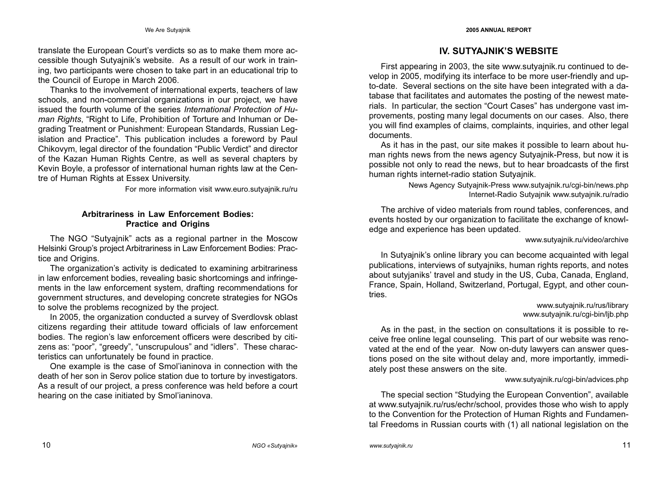translate the European Court's verdicts so as to make them more accessible though Sutyajnik's website. As a result of our work in training, two participants were chosen to take part in an educational trip to the Council of Europe in March 2006.

Thanks to the involvement of international experts, teachers of law schools, and non-commercial organizations in our project, we have issued the fourth volume of the series International Protection of Human Rights, "Right to Life, Prohibition of Torture and Inhuman or Degrading Treatment or Punishment: European Standards, Russian Legislation and Practice". This publication includes a foreword by Paul Chikovym, legal director of the foundation "Public Verdict" and director of the Kazan Human Rights Centre, as well as several chapters by Kevin Boyle, a professor of international human rights law at the Centre of Human Rights at Essex University.

For more information visit www.euro.sutyajnik.ru/ru

### Arbitrariness in Law Enforcement Bodies: Practice and Origins

The NGO "Sutyajnik" acts as a regional partner in the Moscow Helsinki Group's project Arbitrariness in Law Enforcement Bodies: Practice and Origins.

The organization's activity is dedicated to examining arbitrariness in law enforcement bodies, revealing basic shortcomings and infringements in the law enforcement system, drafting recommendations for government structures, and developing concrete strategies for NGOs to solve the problems recognized by the project.

In 2005, the organization conducted a survey of Sverdlovsk oblast citizens regarding their attitude toward officials of law enforcement bodies. The region's law enforcement officers were described by citizens as: "poor", "greedy", "unscrupulous" and "idlers". These characteristics can unfortunately be found in practice.

One example is the case of Smol'ianinova in connection with the death of her son in Serov police station due to torture by investigators. As a result of our project, a press conference was held before a court hearing on the case initiated by Smol'ianinova.

# IV. SUTYAJNIK'S WEBSITE

First appearing in 2003, the site www.sutyajnik.ru continued to develop in 2005, modifying its interface to be more user-friendly and upto-date. Several sections on the site have been integrated with a database that facilitates and automates the posting of the newest materials. In particular, the section "Court Cases" has undergone vast improvements, posting many legal documents on our cases. Also, there you will find examples of claims, complaints, inquiries, and other legal documents.

As it has in the past, our site makes it possible to learn about human rights news from the news agency Sutyajnik-Press, but now it is possible not only to read the news, but to hear broadcasts of the first human rights internet-radio station Sutyajnik.

> News Agency Sutyajnik-Press www.sutyajnik.ru/cgi-bin/news.php Internet-Radio Sutyajnik www.sutyajnik.ru/radio

The archive of video materials from round tables, conferences, and events hosted by our organization to facilitate the exchange of knowledge and experience has been updated.

#### www.sutyajnik.ru/video/archive

In Sutyajnik's online library you can become acquainted with legal publications, interviews of sutyajniks, human rights reports, and notes about sutyjaniks' travel and study in the US, Cuba, Canada, England, France, Spain, Holland, Switzerland, Portugal, Egypt, and other countries.

#### www.sutyajnik.ru/rus/library www.sutyajnik.ru/cgi-bin/ljb.php

As in the past, in the section on consultations it is possible to receive free online legal counseling. This part of our website was renovated at the end of the year. Now on-duty lawyers can answer questions posed on the site without delay and, more importantly, immediately post these answers on the site.

#### www.sutyajnik.ru/cgi-bin/advices.php

The special section "Studying the European Convention", available at www.sutyajnik.ru/rus/echr/school, provides those who wish to apply to the Convention for the Protection of Human Rights and Fundamental Freedoms in Russian courts with (1) all national legislation on the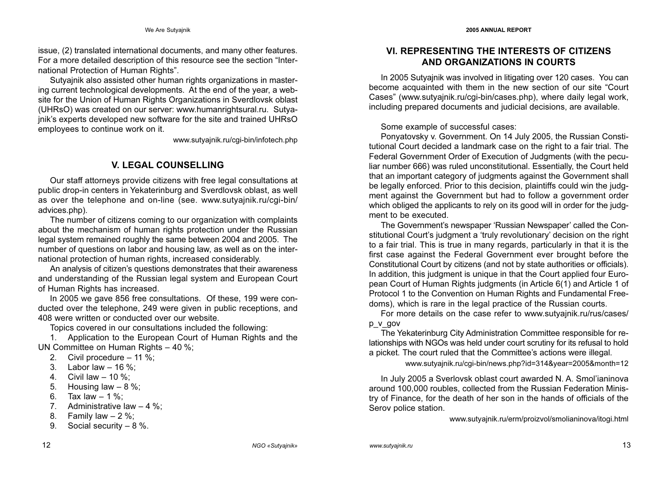issue, (2) translated international documents, and many other features. For a more detailed description of this resource see the section "International Protection of Human Rights".

Sutyajnik also assisted other human rights organizations in mastering current technological developments. At the end of the year, a website for the Union of Human Rights Organizations in Sverdlovsk oblast (UHRsO) was created on our server: www.humanrightsural.ru. Sutyajnik's experts developed new software for the site and trained UHRsO employees to continue work on it.

www.sutyajnik.ru/cgi-bin/infotech.php

## V. LEGAL COUNSELLING

Our staff attorneys provide citizens with free legal consultations at public drop-in centers in Yekaterinburg and Sverdlovsk oblast, as well as over the telephone and on-line (see. www.sutyajnik.ru/cgi-bin/ advices.php).

The number of citizens coming to our organization with complaints about the mechanism of human rights protection under the Russian legal system remained roughly the same between 2004 and 2005. The number of questions on labor and housing law, as well as on the international protection of human rights, increased considerably.

An analysis of citizen's questions demonstrates that their awareness and understanding of the Russian legal system and European Court of Human Rights has increased.

In 2005 we gave 856 free consultations. Of these, 199 were conducted over the telephone, 249 were given in public receptions, and 408 were written or conducted over our website.

Topics covered in our consultations included the following:

1. Application to the European Court of Human Rights and the UN Committee on Human Rights – 40 %;

- 2. Civil procedure 11 %;
- 3. Labor law 16 %;
- 4. Civil law 10 %;
- 5. Housing law 8 %;
- 6. Tax law  $-1\%$ :
- 7. Administrative law 4 %;
- 8. Family law  $-2\%$ ;
- 9. Social security 8 %.

## VI. REPRESENTING THE INTERESTS OF CITIZENS AND ORGANIZATIONS IN COURTS

In 2005 Sutyajnik was involved in litigating over 120 cases. You can become acquainted with them in the new section of our site "Court Cases" (www.sutyajnik.ru/cgi-bin/cases.php), where daily legal work, including prepared documents and judicial decisions, are available.

Some example of successful cases:

Ponyatovsky v. Government. On 14 July 2005, the Russian Constitutional Court decided a landmark case on the right to a fair trial. The Federal Government Order of Execution of Judgments (with the peculiar number 666) was ruled unconstitutional. Essentially, the Court held that an important category of judgments against the Government shall be legally enforced. Prior to this decision, plaintiffs could win the judgment against the Government but had to follow a government order which obliged the applicants to rely on its good will in order for the judgment to be executed.

The Government's newspaper 'Russian Newspaper' called the Constitutional Court's judgment a 'truly revolutionary' decision on the right to a fair trial. This is true in many regards, particularly in that it is the first case against the Federal Government ever brought before the Constitutional Court by citizens (and not by state authorities or officials). In addition, this judgment is unique in that the Court applied four European Court of Human Rights judgments (in Article 6(1) and Article 1 of Protocol 1 to the Convention on Human Rights and Fundamental Freedoms), which is rare in the legal practice of the Russian courts.

For more details on the case refer to www.sutyajnik.ru/rus/cases/ p\_v\_gov

The Yekaterinburg City Administration Committee responsible for relationships with NGOs was held under court scrutiny for its refusal to hold a picket. The court ruled that the Committee's actions were illegal.

www.sutyajnik.ru/cgi-bin/news.php?id=314&year=2005&month=12

In July 2005 a Sverlovsk oblast court awarded N. A. Smol'ianinova around 100,000 roubles, collected from the Russian Federation Ministry of Finance, for the death of her son in the hands of officials of the Serov police station.

www.sutyajnik.ru/erm/proizvol/smolianinova/itogi.html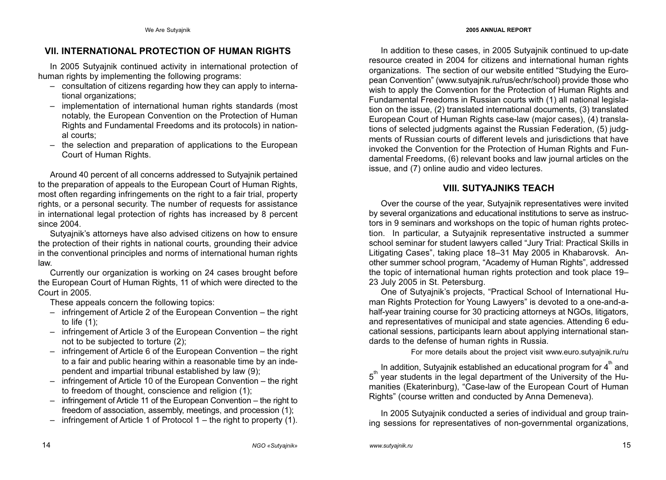## VII. INTERNATIONAL PROTECTION OF HUMAN RIGHTS

In 2005 Sutyajnik continued activity in international protection of human rights by implementing the following programs:

- consultation of citizens regarding how they can apply to international organizations;
- implementation of international human rights standards (most notably, the European Convention on the Protection of Human Rights and Fundamental Freedoms and its protocols) in national courts;
- the selection and preparation of applications to the European Court of Human Rights.

Around 40 percent of all concerns addressed to Sutyajnik pertained to the preparation of appeals to the European Court of Human Rights, most often regarding infringements on the right to a fair trial, property rights, or a personal security. The number of requests for assistance in international legal protection of rights has increased by 8 percent since 2004.

Sutyajnik's attorneys have also advised citizens on how to ensure the protection of their rights in national courts, grounding their advice in the conventional principles and norms of international human rights law.

Currently our organization is working on 24 cases brought before the European Court of Human Rights, 11 of which were directed to the Court in 2005.

These appeals concern the following topics:

- infringement of Article 2 of the European Convention the right to life (1);
- infringement of Article 3 of the European Convention the right not to be subjected to torture (2);
- infringement of Article 6 of the European Convention the right to a fair and public hearing within a reasonable time by an independent and impartial tribunal established by law (9);
- infringement of Article 10 of the European Convention the right to freedom of thought, conscience and religion (1);
- infringement of Article 11 of the European Convention the right to freedom of association, assembly, meetings, and procession (1);
- infringement of Article 1 of Protocol 1 the right to property (1).

In addition to these cases, in 2005 Sutyajnik continued to up-date resource created in 2004 for citizens and international human rights organizations. The section of our website entitled "Studying the European Convention" (www.sutyajnik.ru/rus/echr/school) provide those who wish to apply the Convention for the Protection of Human Rights and Fundamental Freedoms in Russian courts with (1) all national legislation on the issue, (2) translated international documents, (3) translated European Court of Human Rights case-law (major cases), (4) translations of selected judgments against the Russian Federation, (5) judgments of Russian courts of different levels and jurisdictions that have invoked the Convention for the Protection of Human Rights and Fundamental Freedoms, (6) relevant books and law journal articles on the issue, and (7) online audio and video lectures.

### VIII. SUTYAJNIKS TEACH

Over the course of the year, Sutyajnik representatives were invited by several organizations and educational institutions to serve as instructors in 9 seminars and workshops on the topic of human rights protection. In particular, a Sutyajnik representative instructed a summer school seminar for student lawyers called "Jury Trial: Practical Skills in Litigating Cases", taking place 18–31 May 2005 in Khabarovsk. Another summer school program, "Academy of Human Rights", addressed the topic of international human rights protection and took place 19– 23 July 2005 in St. Petersburg.

One of Sutyajnik's projects, "Practical School of International Human Rights Protection for Young Lawyers" is devoted to a one-and-ahalf-year training course for 30 practicing attorneys at NGOs, litigators, and representatives of municipal and state agencies. Attending 6 educational sessions, participants learn about applying international standards to the defense of human rights in Russia.

For more details about the project visit www.euro.sutyajnik.ru/ru

In addition, Sutyajnik established an educational program for  $4^{\text{th}}$  and 5<sup>th</sup> year students in the legal department of the University of the Humanities (Ekaterinburg), "Case-law of the European Court of Human Rights" (course written and conducted by Anna Demeneva).

In 2005 Sutyajnik conducted a series of individual and group training sessions for representatives of non-governmental organizations,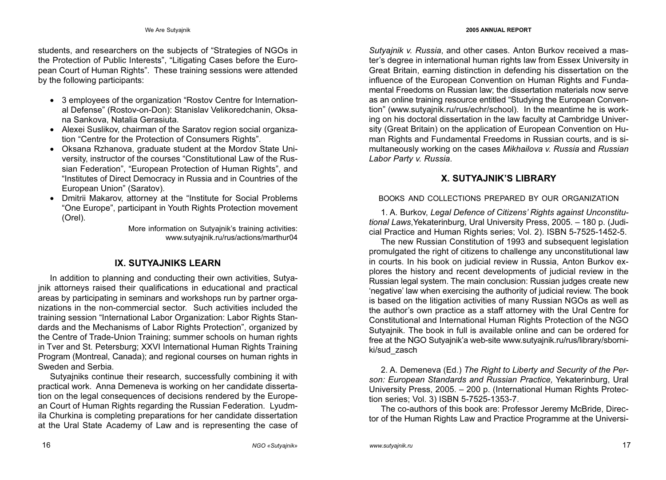students, and researchers on the subjects of "Strategies of NGOs in the Protection of Public Interests", "Litigating Cases before the European Court of Human Rights". These training sessions were attended by the following participants:

- 3 employees of the organization "Rostov Centre for International Defense" (Rostov-on-Don): Stanislav Velikoredchanin, Oksana Sankova, Natalia Gerasiuta.
- Alexei Suslikov, chairman of the Saratov region social organization "Centre for the Protection of Consumers Rights".
- Oksana Rzhanova, graduate student at the Mordov State University, instructor of the courses "Constitutional Law of the Russian Federation", "European Protection of Human Rights", and "Institutes of Direct Democracy in Russia and in Countries of the European Union" (Saratov).
- Dmitrii Makarov, attorney at the "Institute for Social Problems "One Europe", participant in Youth Rights Protection movement (Orel).

More information on Sutyajnik's training activities: www.sutyajnik.ru/rus/actions/marthur04

# IX. SUTYAJNIKS LEARN

In addition to planning and conducting their own activities, Sutyajnik attorneys raised their qualifications in educational and practical areas by participating in seminars and workshops run by partner organizations in the non-commercial sector. Such activities included the training session "International Labor Organization: Labor Rights Standards and the Mechanisms of Labor Rights Protection", organized by the Centre of Trade-Union Training; summer schools on human rights in Tver and St. Petersburg; XXVI International Human Rights Training Program (Montreal, Canada); and regional courses on human rights in Sweden and Serbia.

Sutyajniks continue their research, successfully combining it with practical work. Anna Demeneva is working on her candidate dissertation on the legal consequences of decisions rendered by the European Court of Human Rights regarding the Russian Federation. Lyudmila Churkina is completing preparations for her candidate dissertation at the Ural State Academy of Law and is representing the case of

Sutvainik v. Russia, and other cases. Anton Burkov received a master's degree in international human rights law from Essex University in Great Britain, earning distinction in defending his dissertation on the influence of the European Convention on Human Rights and Fundamental Freedoms on Russian law; the dissertation materials now serve as an online training resource entitled "Studying the European Convention" (www.sutyajnik.ru/rus/echr/school). In the meantime he is working on his doctoral dissertation in the law faculty at Cambridge University (Great Britain) on the application of European Convention on Human Rights and Fundamental Freedoms in Russian courts, and is simultaneously working on the cases Mikhailova v. Russia and Russian Labor Party v. Russia.

## X. SUTYAJNIK'S LIBRARY

### BOOKS AND COLLECTIONS PREPARED BY OUR ORGANIZATION

1. A. Burkov, Legal Defence of Citizens' Rights against Unconstitutional Laws,Yekaterinburg, Ural University Press, 2005. – 180 p. (Judicial Practice and Human Rights series; Vol. 2). ISBN 5-7525-1452-5.

The new Russian Constitution of 1993 and subsequent legislation promulgated the right of citizens to challenge any unconstitutional law in courts. In his book on judicial review in Russia, Anton Burkov explores the history and recent developments of judicial review in the Russian legal system. The main conclusion: Russian judges create new 'negative' law when exercising the authority of judicial review. The book is based on the litigation activities of many Russian NGOs as well as the author's own practice as a staff attorney with the Ural Centre for Constitutional and International Human Rights Protection of the NGO Sutyajnik. The book in full is available online and can be ordered for free at the NGO Sutyajnik'a web-site www.sutyajnik.ru/rus/library/sborniki/sud\_zasch

2. A. Demeneva (Ed.) The Right to Liberty and Security of the Person: European Standards and Russian Practice, Yekaterinburg, Ural University Press, 2005. – 200 p. (International Human Rights Protection series; Vol. 3) ISBN 5-7525-1353-7.

The co-authors of this book are: Professor Jeremy McBride, Director of the Human Rights Law and Practice Programme at the Universi-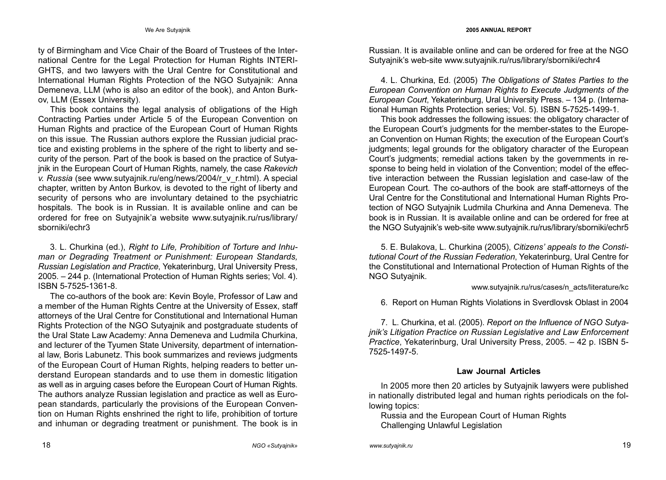#### We Are Sutyajnik 2005 ANNUAL REPORT

ty of Birmingham and Vice Chair of the Board of Trustees of the International Centre for the Legal Protection for Human Rights INTERI-GHTS, and two lawyers with the Ural Centre for Constitutional and International Human Rights Protection of the NGO Sutyajnik: Anna Demeneva, LLM (who is also an editor of the book), and Anton Burkov, LLM (Essex University).

This book contains the legal analysis of obligations of the High Contracting Parties under Article 5 of the European Convention on Human Rights and practice of the European Court of Human Rights on this issue. The Russian authors explore the Russian judicial practice and existing problems in the sphere of the right to liberty and security of the person. Part of the book is based on the practice of Sutyajnik in the European Court of Human Rights, namely, the case Rakevich v. Russia (see www.sutyajnik.ru/eng/news/2004/r\_v\_r.html). A special chapter, written by Anton Burkov, is devoted to the right of liberty and security of persons who are involuntary detained to the psychiatric hospitals. The book is in Russian. It is available online and can be ordered for free on Sutyajnik'a website www.sutyajnik.ru/rus/library/ sborniki/echr3

3. L. Churkina (ed.), Right to Life, Prohibition of Torture and Inhuman or Degrading Treatment or Punishment: European Standards, Russian Legislation and Practice, Yekaterinburg, Ural University Press, 2005. – 244 p. (International Protection of Human Rights series; Vol. 4). ISBN 5-7525-1361-8.

The co-authors of the book are: Kevin Boyle, Professor of Law and a member of the Human Rights Centre at the University of Essex, staff attorneys of the Ural Centre for Constitutional and International Human Rights Protection of the NGO Sutyajnik and postgraduate students of the Ural State Law Academy: Anna Demeneva and Ludmila Churkina, and lecturer of the Tyumen State University, department of international law, Boris Labunetz. This book summarizes and reviews judgments of the European Court of Human Rights, helping readers to better understand European standards and to use them in domestic litigation as well as in arguing cases before the European Court of Human Rights. The authors analyze Russian legislation and practice as well as European standards, particularly the provisions of the European Convention on Human Rights enshrined the right to life, prohibition of torture and inhuman or degrading treatment or punishment. The book is in

Russian. It is available online and can be ordered for free at the NGO Sutyajnik's web-site www.sutyajnik.ru/rus/library/sborniki/echr4

4. L. Churkina, Ed. (2005) The Obligations of States Parties to the European Convention on Human Rights to Execute Judgments of the European Court, Yekaterinburg, Ural University Press. – 134 p. (International Human Rights Protection series; Vol. 5). ISBN 5-7525-1499-1.

This book addresses the following issues: the obligatory character of the European Court's judgments for the member-states to the European Convention on Human Rights; the execution of the European Court's judgments; legal grounds for the obligatory character of the European Court's judgments; remedial actions taken by the governments in response to being held in violation of the Convention; model of the effective interaction between the Russian legislation and case-law of the European Court. The co-authors of the book are staff-attorneys of the Ural Centre for the Constitutional and International Human Rights Protection of NGO Sutyajnik Ludmila Churkina and Anna Demeneva. The book is in Russian. It is available online and can be ordered for free at the NGO Sutyajnik's web-site www.sutyajnik.ru/rus/library/sborniki/echr5

5. E. Bulakova, L. Churkina (2005), Citizens' appeals to the Constitutional Court of the Russian Federation, Yekaterinburg, Ural Centre for the Constitutional and International Protection of Human Rights of the NGO Sutyajnik.

www.sutyajnik.ru/rus/cases/n\_acts/literature/kc

6. Report on Human Rights Violations in Sverdlovsk Oblast in 2004

7. L. Churkina, et al. (2005). Report on the Influence of NGO Sutyajnik's Litigation Practice on Russian Legislative and Law Enforcement Practice, Yekaterinburg, Ural University Press, 2005. – 42 p. ISBN 5- 7525-1497-5.

#### Law Journal Articles

In 2005 more then 20 articles by Sutyajnik lawyers were published in nationally distributed legal and human rights periodicals on the following topics:

Russia and the European Court of Human Rights Challenging Unlawful Legislation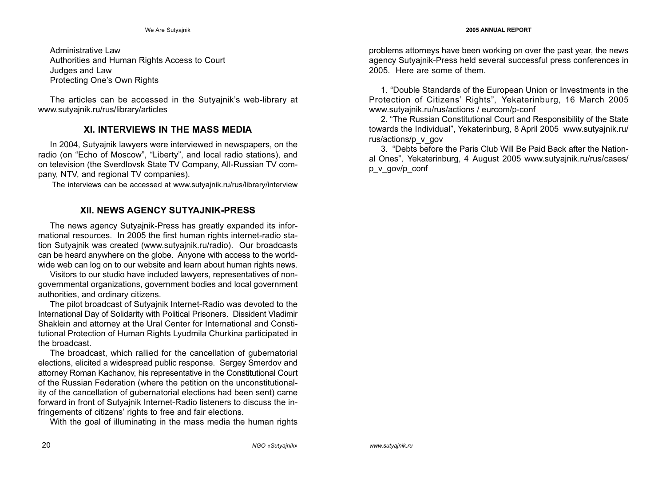Administrative Law Authorities and Human Rights Access to Court Judges and Law Protecting One's Own Rights

The articles can be accessed in the Sutyajnik's web-library at www.sutyajnik.ru/rus/library/articles

## XI. INTERVIEWS IN THE MASS MEDIA

In 2004, Sutyajnik lawyers were interviewed in newspapers, on the radio (on "Echo of Moscow", "Liberty", and local radio stations), and on television (the Sverdlovsk State TV Company, All-Russian TV company, NTV, and regional TV companies).

The interviews can be accessed at www.sutyajnik.ru/rus/library/interview

# XII. NEWS AGENCY SUTYAJNIK-PRESS

The news agency Sutyajnik-Press has greatly expanded its informational resources. In 2005 the first human rights internet-radio station Sutyajnik was created (www.sutyajnik.ru/radio). Our broadcasts can be heard anywhere on the globe. Anyone with access to the worldwide web can log on to our website and learn about human rights news.

Visitors to our studio have included lawyers, representatives of nongovernmental organizations, government bodies and local government authorities, and ordinary citizens.

The pilot broadcast of Sutyajnik Internet-Radio was devoted to the International Day of Solidarity with Political Prisoners. Dissident Vladimir Shaklein and attorney at the Ural Center for International and Constitutional Protection of Human Rights Lyudmila Churkina participated in the broadcast.

The broadcast, which rallied for the cancellation of gubernatorial elections, elicited a widespread public response. Sergey Smerdov and attorney Roman Kachanov, his representative in the Constitutional Court of the Russian Federation (where the petition on the unconstitutionality of the cancellation of gubernatorial elections had been sent) came forward in front of Sutyajnik Internet-Radio listeners to discuss the infringements of citizens' rights to free and fair elections.

With the goal of illuminating in the mass media the human rights

problems attorneys have been working on over the past year, the news agency Sutyajnik-Press held several successful press conferences in 2005. Here are some of them.

1. "Double Standards of the European Union or Investments in the Protection of Citizens' Rights", Yekaterinburg, 16 March 2005 www.sutyajnik.ru/rus/actions / eurcom/p-conf

2. "The Russian Constitutional Court and Responsibility of the State towards the Individual", Yekaterinburg, 8 April 2005 www.sutyajnik.ru/ rus/actions/p\_v\_gov

3. "Debts before the Paris Club Will Be Paid Back after the National Ones", Yekaterinburg, 4 August 2005 www.sutyajnik.ru/rus/cases/ p\_v\_gov/p\_conf